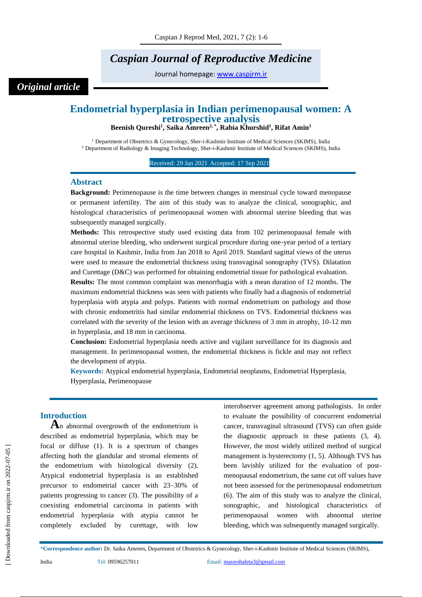# *Caspian Journal of Reproductive Medicine*

Journal homepage: [www.caspjrm.ir](http://www.caspjrm.ir/)

## *Original article*

## **Endometrial hyperplasia in Indian perimenopausal women: A retrospective analysis**

**Beenish Qureshi<sup>1</sup> , Saika Amreen2, \* , Rabia Khurshid<sup>1</sup> , Rifat Amin<sup>1</sup>**

<sup>1</sup> Department of Obstetrics & Gynecology, Sher-i-Kashmir Institute of Medical Sciences (SKIMS), India <sup>2</sup> Department of Radiology & Imaging Technology, Sher-i-Kashmir Institute of Medical Sciences (SKIMS), India

Received: 29 Jan 2021 Accepted: 17 Sep 2021

#### **Abstract**

**Background:** Perimenopause is the time between changes in menstrual cycle toward menopause or permanent infertility. The aim of this study was to analyze the clinical, sonographic, and histological characteristics of perimenopausal women with abnormal uterine bleeding that was subsequently managed surgically.

**Methods:** This retrospective study used existing data from 102 perimenopausal female with abnormal uterine bleeding, who underwent surgical procedure during one-year period of a tertiary care hospital in Kashmir, India from Jan 2018 to April 2019. Standard sagittal views of the uterus were used to measure the endometrial thickness using transvaginal sonography (TVS). Dilatation and Curettage (D&C) was performed for obtaining endometrial tissue for pathological evaluation.

**Results:** The most common complaint was menorrhagia with a mean duration of 12 months. The maximum endometrial thickness was seen with patients who finally had a diagnosis of endometrial hyperplasia with atypia and polyps. Patients with normal endometrium on pathology and those with chronic endometritis had similar endometrial thickness on TVS. Endometrial thickness was correlated with the severity of the lesion with an average thickness of 3 mm in atrophy, 10-12 mm in hyperplasia, and 18 mm in carcinoma.

**Conclusion:** Endometrial hyperplasia needs active and vigilant surveillance for its diagnosis and management. In perimenopausal women, the endometrial thickness is fickle and may not reflect the development of atypia.

**Keywords:** Atypical endometrial hyperplasia, Endometrial neoplasms, Endometrial Hyperplasia, Hyperplasia, Perimenopause

## **Introduction**

**A**n abnormal overgrowth of the endometrium is described as endometrial hyperplasia, which may be focal or diffuse (1). It is a spectrum of changes affecting both the glandular and stromal elements of the endometrium with histological diversity (2). Atypical endometrial hyperplasia is an established precursor to endometrial cancer with 23–30% of patients progressing to cancer (3). The possibility of a coexisting endometrial carcinoma in patients with endometrial hyperplasia with atypia cannot be completely excluded by curettage, with low

interobserver agreement among pathologists. In order to evaluate the possibility of concurrent endometrial cancer, transvaginal ultrasound (TVS) can often guide the diagnostic approach in these patients (3, 4). However, the most widely utilized method of surgical management is hysterectomy (1, 5). Although TVS has been lavishly utilized for the evaluation of postmenopausal endometrium, the same cut off values have not been assessed for the perimenopausal endometrium (6). The aim of this study was to analyze the clinical, sonographic, and histological characteristics perimenopausal women with abnormal uterine bleeding, which was subsequently managed surgically.

#### \***Correspondence author:** Dr. Saika Amreen, Department of Obstetrics & Gynecology, Sher-i-Kashmir Institute of Medical Sciences (SKIMS),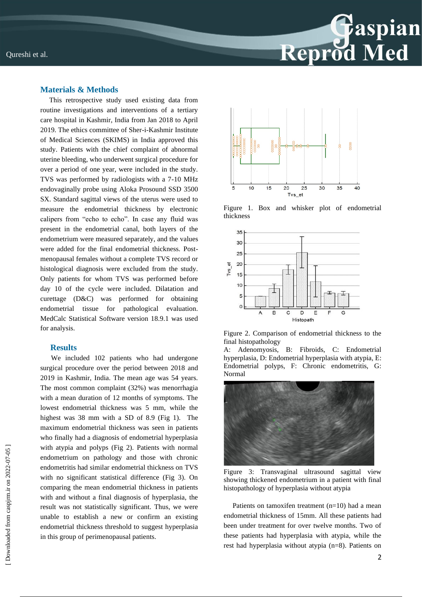

## **Materials & Methods**

 This retrospective study used existing data from routine investigations and interventions of a tertiary care hospital in Kashmir, India from Jan 2018 to April 2019. The ethics committee of Sher-i-Kashmir Institute of Medical Sciences (SKIMS) in India approved this study. Patients with the chief complaint of abnormal uterine bleeding, who underwent surgical procedure for over a period of one year, were included in the study. TVS was performed by radiologists with a 7-10 MHz endovaginally probe using Aloka Prosound SSD 3500 SX. Standard sagittal views of the uterus were used to measure the endometrial thickness by electronic calipers from "echo to echo". In case any fluid was present in the endometrial canal, both layers of the endometrium were measured separately, and the values were added for the final endometrial thickness. Postmenopausal females without a complete TVS record or histological diagnosis were excluded from the study. Only patients for whom TVS was performed before day 10 of the cycle were included. Dilatation and curettage (D&C) was performed for obtaining endometrial tissue for pathological evaluation. MedCalc Statistical Software version 18.9.1 was used for analysis.

#### **Results**

 We included 102 patients who had undergone surgical procedure over the period between 2018 and 2019 in Kashmir, India. The mean age was 54 years. The most common complaint (32%) was menorrhagia with a mean duration of 12 months of symptoms. The lowest endometrial thickness was 5 mm, while the highest was 38 mm with a SD of 8.9 (Fig 1). The maximum endometrial thickness was seen in patients who finally had a diagnosis of endometrial hyperplasia with atypia and polyps (Fig 2). Patients with normal endometrium on pathology and those with chronic endometritis had similar endometrial thickness on TVS with no significant statistical difference (Fig 3). On comparing the mean endometrial thickness in patients with and without a final diagnosis of hyperplasia, the result was not statistically significant. Thus, we were unable to establish a new or confirm an existing endometrial thickness threshold to suggest hyperplasia in this group of perimenopausal patients.



Figure 1. Box and whisker plot of endometrial thickness



Figure 2. Comparison of endometrial thickness to the final histopathology

Adenomyosis, B: Fibroids, C: Endometrial hyperplasia, D: Endometrial hyperplasia with atypia, E: Endometrial polyps, F: Chronic endometritis, G: Normal



Figure 3: Transvaginal ultrasound sagittal view showing thickened endometrium in a patient with final histopathology of hyperplasia without atypia

 Patients on tamoxifen treatment (n=10) had a mean endometrial thickness of 15mm. All these patients had been under treatment for over twelve months. Two of these patients had hyperplasia with atypia, while the rest had hyperplasia without atypia (n=8). Patients on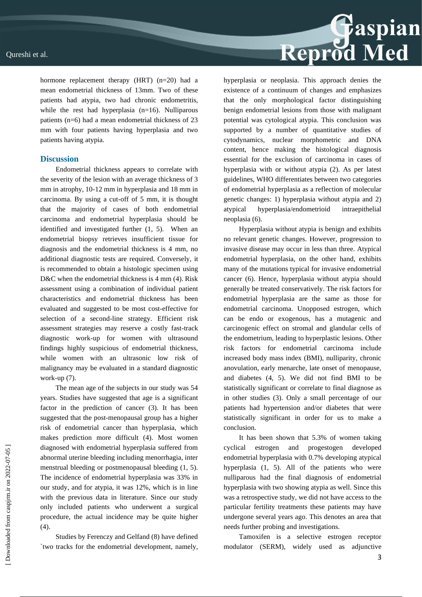hormone replacement therapy (HRT) (n=20) had a mean endometrial thickness of 13mm. Two of these patients had atypia, two had chronic endometritis, while the rest had hyperplasia  $(n=16)$ . Nulliparous patients (n=6) had a mean endometrial thickness of 23 mm with four patients having hyperplasia and two patients having atypia.

### **Discussion**

Endometrial thickness appears to correlate with the severity of the lesion with an average thickness of 3 mm in atrophy, 10-12 mm in hyperplasia and 18 mm in carcinoma. By using a cut-off of 5 mm, it is thought that the majority of cases of both endometrial carcinoma and endometrial hyperplasia should be identified and investigated further (1, 5). When an endometrial biopsy retrieves insufficient tissue for diagnosis and the endometrial thickness is 4 mm, no additional diagnostic tests are required. Conversely, it is recommended to obtain a histologic specimen using D&C when the endometrial thickness is 4 mm (4). Risk assessment using a combination of individual patient characteristics and endometrial thickness has been evaluated and suggested to be most cost-effective for selection of a second-line strategy. Efficient risk assessment strategies may reserve a costly fast-track diagnostic work-up for women with ultrasound findings highly suspicious of endometrial thickness, while women with an ultrasonic low risk of malignancy may be evaluated in a standard diagnostic work-up (7).

The mean age of the subjects in our study was 54 years. Studies have suggested that age is a significant factor in the prediction of cancer (3). It has been suggested that the post-menopausal group has a higher risk of endometrial cancer than hyperplasia, which makes prediction more difficult (4). Most women diagnosed with endometrial hyperplasia suffered from abnormal uterine bleeding including menorrhagia, inter menstrual bleeding or postmenopausal bleeding (1, 5). The incidence of endometrial hyperplasia was 33% in our study, and for atypia, it was 12%, which is in line with the previous data in literature. Since our study only included patients who underwent a surgical procedure, the actual incidence may be quite higher (4).

Studies by Ferenczy and Gelfand (8) have defined `two tracks for the endometrial development, namely, hyperplasia or neoplasia. This approach denies the existence of a continuum of changes and emphasizes that the only morphological factor distinguishing benign endometrial lesions from those with malignant potential was cytological atypia. This conclusion was supported by a number of quantitative studies of cytodynamics, nuclear morphometric and DNA content, hence making the histological diagnosis essential for the exclusion of carcinoma in cases of hyperplasia with or without atypia (2). As per latest guidelines, WHO differentiates between two categories of endometrial hyperplasia as a reflection of molecular genetic changes: 1) hyperplasia without atypia and 2) atypical hyperplasia/endometrioid intraepithelial neoplasia (6).

Reprod Med

Hyperplasia without atypia is benign and exhibits no relevant genetic changes. However, progression to invasive disease may occur in less than three. Atypical endometrial hyperplasia, on the other hand, exhibits many of the mutations typical for invasive endometrial cancer (6). Hence, hyperplasia without atypia should generally be treated conservatively. The risk factors for endometrial hyperplasia are the same as those for endometrial carcinoma. Unopposed estrogen, which can be endo or exogenous, has a mutagenic and carcinogenic effect on stromal and glandular cells of the endometrium, leading to hyperplastic lesions. Other risk factors for endometrial carcinoma include increased body mass index (BMI), nulliparity, chronic anovulation, early menarche, late onset of menopause, and diabetes (4, 5). We did not find BMI to be statistically significant or correlate to final diagnose as in other studies (3). Only a small percentage of our patients had hypertension and/or diabetes that were statistically significant in order for us to make a conclusion.

It has been shown that 5.3% of women taking cyclical estrogen and progestogen developed endometrial hyperplasia with 0.7% developing atypical hyperplasia (1, 5). All of the patients who were nulliparous had the final diagnosis of endometrial hyperplasia with two showing atypia as well. Since this was a retrospective study, we did not have access to the particular fertility treatments these patients may have undergone several years ago. This denotes an area that needs further probing and investigations.

Tamoxifen is a selective estrogen receptor modulator (SERM), widely used as adjunctive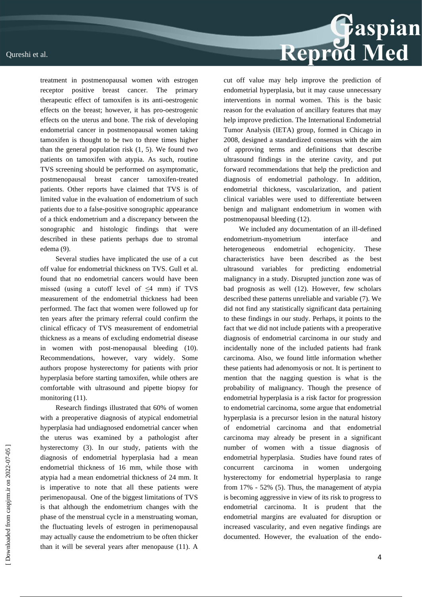

treatment in postmenopausal women with estrogen receptor positive breast cancer. The primary therapeutic effect of tamoxifen is its anti-oestrogenic effects on the breast; however, it has pro-oestrogenic effects on the uterus and bone. The risk of developing endometrial cancer in postmenopausal women taking tamoxifen is thought to be two to three times higher than the general population risk  $(1, 5)$ . We found two patients on tamoxifen with atypia. As such, routine TVS screening should be performed on asymptomatic, postmenopausal breast cancer tamoxifen-treated patients. Other reports have claimed that TVS is of limited value in the evaluation of endometrium of such patients due to a false-positive sonographic appearance of a thick endometrium and a discrepancy between the sonographic and histologic findings that were described in these patients perhaps due to stromal edema (9).

Several studies have implicated the use of a cut off value for endometrial thickness on TVS. Gull et al. found that no endometrial cancers would have been missed (using a cutoff level of  $\leq$ 4 mm) if TVS measurement of the endometrial thickness had been performed. The fact that women were followed up for ten years after the primary referral could confirm the clinical efficacy of TVS measurement of endometrial thickness as a means of excluding endometrial disease in women with post-menopausal bleeding (10). Recommendations, however, vary widely. Some authors propose hysterectomy for patients with prior hyperplasia before starting tamoxifen, while others are comfortable with ultrasound and pipette biopsy for monitoring  $(11)$ .

Research findings illustrated that 60% of women with a preoperative diagnosis of atypical endometrial hyperplasia had undiagnosed endometrial cancer when the uterus was examined by a pathologist after hysterectomy (3). In our study, patients with the diagnosis of endometrial hyperplasia had a mean endometrial thickness of 16 mm, while those with atypia had a mean endometrial thickness of 24 mm. It is imperative to note that all these patients were perimenopausal. One of the biggest limitations of TVS is that although the endometrium changes with the phase of the menstrual cycle in a menstruating woman, the fluctuating levels of estrogen in perimenopausal may actually cause the endometrium to be often thicker than it will be several years after menopause (11). A cut off value may help improve the prediction of endometrial hyperplasia, but it may cause unnecessary interventions in normal women. This is the basic reason for the evaluation of ancillary features that may help improve prediction. The International Endometrial Tumor Analysis (IETA) group, formed in Chicago in 2008, designed a standardized consensus with the aim of approving terms and definitions that describe ultrasound findings in the uterine cavity, and put forward recommendations that help the prediction and diagnosis of endometrial pathology. In addition, endometrial thickness, vascularization, and patient clinical variables were used to differentiate between benign and malignant endometrium in women with postmenopausal bleeding (12).

We included any documentation of an ill-defined endometrium-myometrium interface and heterogeneous endometrial echogenicity. These characteristics have been described as the best ultrasound variables for predicting endometrial malignancy in a study. Disrupted junction zone was of bad prognosis as well (12). However, few scholars described these patterns unreliable and variable (7). We did not find any statistically significant data pertaining to these findings in our study. Perhaps, it points to the fact that we did not include patients with a preoperative diagnosis of endometrial carcinoma in our study and incidentally none of the included patients had frank carcinoma. Also, we found little information whether these patients had adenomyosis or not. It is pertinent to mention that the nagging question is what is the probability of malignancy. Though the presence of endometrial hyperplasia is a risk factor for progression to endometrial carcinoma, some argue that endometrial hyperplasia is a precursor lesion in the natural history of endometrial carcinoma and that endometrial carcinoma may already be present in a significant number of women with a tissue diagnosis of endometrial hyperplasia. Studies have found rates of concurrent carcinoma in women undergoing hysterectomy for endometrial hyperplasia to range from 17% - 52% (5). Thus, the management of atypia is becoming aggressive in view of its risk to progress to endometrial carcinoma. It is prudent that the endometrial margins are evaluated for disruption or increased vascularity, and even negative findings are documented. However, the evaluation of the endo-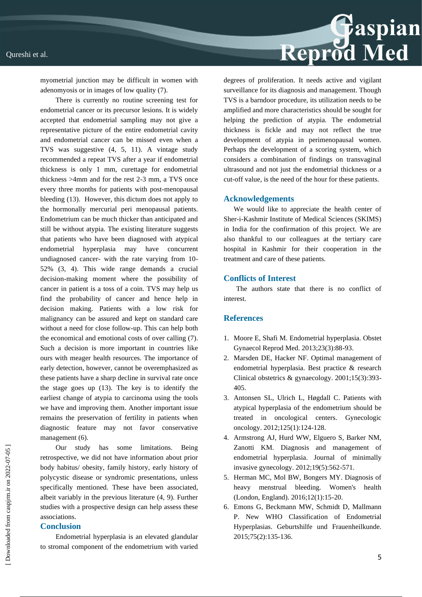

myometrial junction may be difficult in women with adenomyosis or in images of low quality (7).

There is currently no routine screening test for endometrial cancer or its precursor lesions. It is widely accepted that endometrial sampling may not give a representative picture of the entire endometrial cavity and endometrial cancer can be missed even when a TVS was suggestive (4, 5, 11). A vintage study recommended a repeat TVS after a year if endometrial thickness is only 1 mm, curettage for endometrial thickness >4mm and for the rest 2-3 mm, a TVS once every three months for patients with post-menopausal bleeding (13). However, this dictum does not apply to the hormonally mercurial peri menopausal patients. Endometrium can be much thicker than anticipated and still be without atypia. The existing literature suggests that patients who have been diagnosed with atypical endometrial hyperplasia may have concurrent undiagnosed cancer- with the rate varying from 10- 52% (3, 4). This wide range demands a crucial decision-making moment where the possibility of cancer in patient is a toss of a coin. TVS may help us find the probability of cancer and hence help in decision making. Patients with a low risk for malignancy can be assured and kept on standard care without a need for close follow-up. This can help both the economical and emotional costs of over calling (7). Such a decision is more important in countries like ours with meager health resources. The importance of early detection, however, cannot be overemphasized as these patients have a sharp decline in survival rate once the stage goes up (13). The key is to identify the earliest change of atypia to carcinoma using the tools we have and improving them. Another important issue remains the preservation of fertility in patients when diagnostic feature may not favor conservative management (6).

Our study has some limitations. Being retrospective, we did not have information about prior body habitus/ obesity, family history, early history of polycystic disease or syndromic presentations, unless specifically mentioned. These have been associated, albeit variably in the previous literature (4, 9). Further studies with a prospective design can help assess these associations.

#### **Conclusion**

Endometrial hyperplasia is an elevated glandular to stromal component of the endometrium with varied degrees of proliferation. It needs active and vigilant surveillance for its diagnosis and management. Though TVS is a barndoor procedure, its utilization needs to be amplified and more characteristics should be sought for helping the prediction of atypia. The endometrial thickness is fickle and may not reflect the true development of atypia in perimenopausal women. Perhaps the development of a scoring system, which considers a combination of findings on transvaginal ultrasound and not just the endometrial thickness or a cut-off value, is the need of the hour for these patients.

#### **Acknowledgements**

We would like to appreciate the health center of Sher-i-Kashmir Institute of Medical Sciences (SKIMS) in India for the confirmation of this project. We are also thankful to our colleagues at the tertiary care hospital in Kashmir for their cooperation in the treatment and care of these patients.

## **Conflicts of Interest**

 The authors state that there is no conflict of interest.

### **References**

- 1. Moore E, Shafi M. Endometrial hyperplasia. Obstet Gynaecol Reprod Med. 2013;23(3):88-93.
- 2. Marsden DE, Hacker NF. Optimal management of endometrial hyperplasia. Best practice & research Clinical obstetrics & gynaecology. 2001;15(3):393- 405.
- 3. Antonsen SL, Ulrich L, Høgdall C. Patients with atypical hyperplasia of the endometrium should be treated in oncological centers. Gynecologic oncology. 2012;125(1):124-128.
- 4. Armstrong AJ, Hurd WW, Elguero S, Barker NM, Zanotti KM. Diagnosis and management of endometrial hyperplasia. Journal of minimally invasive gynecology. 2012;19(5):562-571.
- 5. Herman MC, Mol BW, Bongers MY. Diagnosis of heavy menstrual bleeding. Women's health (London, England). 2016;12(1):15-20.
- 6. Emons G, Beckmann MW, Schmidt D, Mallmann P. New WHO Classification of Endometrial Hyperplasias. Geburtshilfe und Frauenheilkunde. 2015;75(2):135-136.